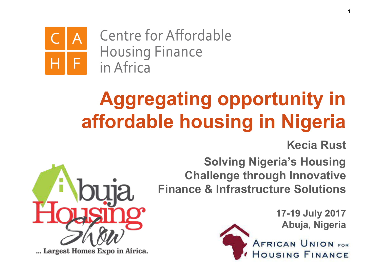Centre for Affordable **Housing Finance** in Africa

# **Aggregating opportunity in affordable housing in Nigeria**

**Kecia Rust**

**Solving Nigeria's Housing Challenge through Innovative Finance & Infrastructure Solutions**



**17-19 July 2017 Abuja, Nigeria**

**AFRICAN UNION FOR** OUSING FINANCE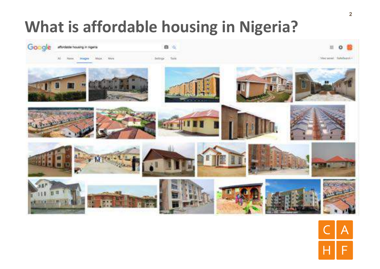#### **What is affordable housing in Nigeria?**



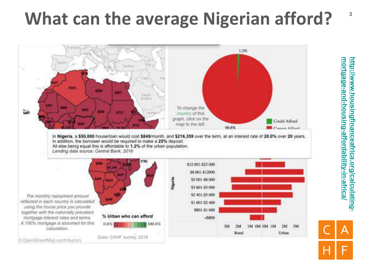## **What can the average Nigerian afford?** <sup>3</sup>



<u>http://www.housingfinanceafrica.org/calculating-</u> <u>mortgage-and-housing-affordability-in-africa</u> **mortgage-and-housing-affordability-in-africa/http://www.housingfinanceafrica.org/calculating-**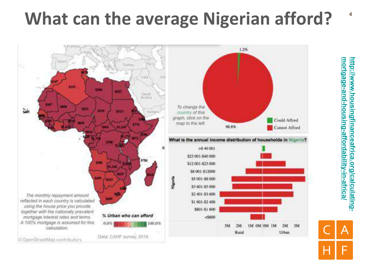## **What can the average Nigerian afford?** <sup>4</sup>



<u>mortgage-and-housing-affordability-in-africa</u> <u>http://www.housingfinanceafrica.org/calculating-</u> **mortgage-and-housing-affordability-in-africa/http://www.housingfinanceafrica.org/calculating-**

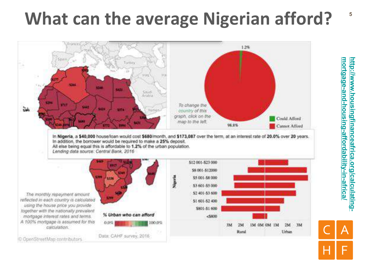## **What can the average Nigerian afford?**



<u>mortgage-and-housing-affordability-in-africa</u> <u>http://www.housingfinanceafrica.org/calculating-</u> **mortgage-and-housing-affordability-in-africa/http://www.housingfinanceafrica.org/calculating-**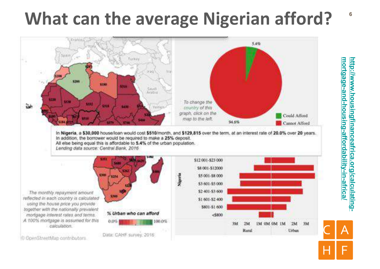## **What can the average Nigerian afford? <sup>6</sup>**



<u>mortgage-and-housing-affordability-in-africa</u> <u>http://www.housingfinanceafrica.org/calculating-</u> **mortgage-and-housing-affordability-in-africa/http://www.housingfinanceafrica.org/calculating-**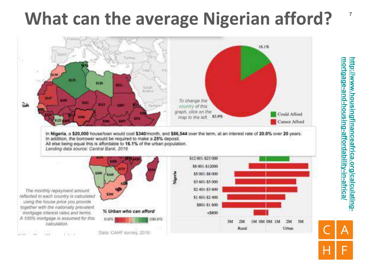## **What can the average Nigerian afford?**



<u>mortgage-and-housing-affordability-in-africa</u> <u>http://www.housingfinanceafrica.org/calculating-</u> **mortgage-and-housing-affordability-in-africa/http://www.housingfinanceafrica.org/calculating-**

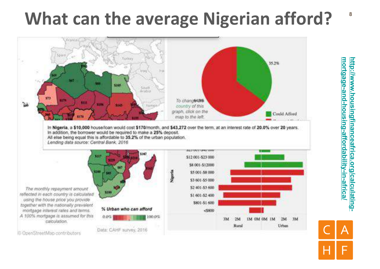## **What can the average Nigerian afford?** <sup>8</sup>



<u>http://www.housingfinanceafrica.org/calculating-</u> <u>mortgage-and-housing-affordability-in-africa</u> **mortgage-and-housing-affordability-in-africa/http://www.housingfinanceafrica.org/calculating-**

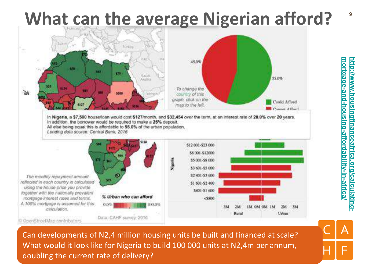#### **What can the average Nigerian afford?**



D OpenStreetMap contributors

Can developments of N2,4 million housing units be built and financed at scale? What would it look like for Nigeria to build 100 000 units at N2,4m per annum, doubling the current rate of delivery?

Data: CAHF survey, 2010

<u>mortgage-and-housing-affordability-in-africa</u> **mortgage-and-housing-affordability-in-africa/** <u>http://www.housingfinanceafrica.org/calculating-</u> **http://www.housingfinanceafrica.org/calculating-**

**9**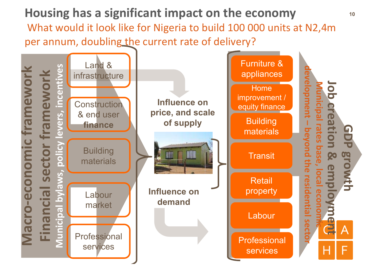**Housing has a significant impact on the economy** What would it look like for Nigeria to build 100 000 units at N2,4m per annum, doubling the current rate of delivery?

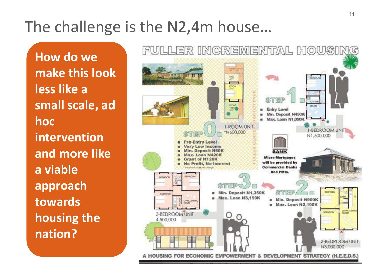#### The challenge is the N2,4m house...

**How do we make this look less** like a small scale, ad **hoc intervention**  and more like **a viable approach towards housing the nation?**

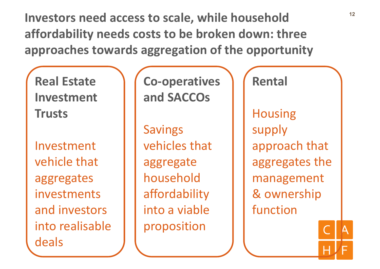Investors need access to scale, while household  $12$ affordability needs costs to be broken down: three approaches towards aggregation of the opportunity

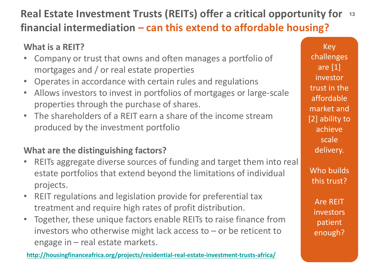#### **Real Estate Investment Trusts (REITs) offer a critical opportunity for** 13 **financial intermediation – can this extend to affordable housing?**

#### **What is a REIT?**

- Company or trust that owns and often manages a portfolio of mortgages and / or real estate properties
- Operates in accordance with certain rules and regulations
- Allows investors to invest in portfolios of mortgages or large-scale properties through the purchase of shares.
- The shareholders of a REIT earn a share of the income stream produced by the investment portfolio

#### **What are the distinguishing factors?**

- REITs aggregate diverse sources of funding and target them into real estate portfolios that extend beyond the limitations of individual projects.
- REIT regulations and legislation provide for preferential tax treatment and require high rates of profit distribution.
- Together, these unique factors enable REITs to raise finance from investors who otherwise might lack access to  $-$  or be reticent to engage in  $-$  real estate markets.

**http://housingfinanceafrica.org/projects/residential-real-estate-investment-trusts-africa/**

Key challenges are [1] investor trust in the affordable market and [2] ability to achieve scale delivery.

Who builds this trust?

**Are REIT** investors patient enough?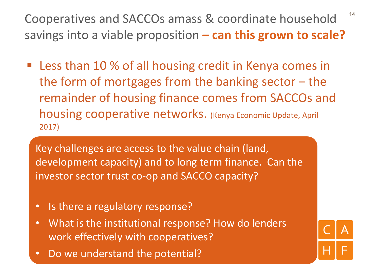Cooperatives and SACCOs amass & coordinate household <sup>14</sup> savings into a viable proposition – can this grown to scale?

■ Less than 10 % of all housing credit in Kenya comes in the form of mortgages from the banking sector  $-$  the remainder of housing finance comes from SACCOs and housing cooperative networks. (Kenya Economic Update, April 2017)

Key challenges are access to the value chain (land, development capacity) and to long term finance. Can the investor sector trust co-op and SACCO capacity?

- Is there a regulatory response?
- What is the institutional response? How do lenders work effectively with cooperatives?
- Do we understand the potential?

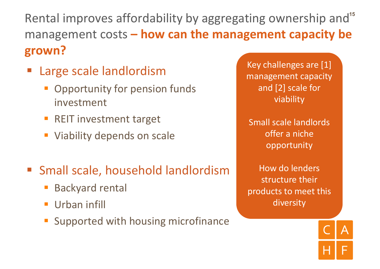Rental improves affordability by aggregating ownership and<sup>15</sup> management costs – how can the management capacity be **grown?**

- Large scale landlordism
	- Opportunity for pension funds investment
	- REIT investment target
	- **Viability depends on scale**
- Small scale, household landlordism
	- Backyard rental
	- **•** Urban infill
	- Supported with housing microfinance

Key challenges are [1] management capacity and [2] scale for viability

Small scale landlords offer a niche opportunity

How do lenders structure their products to meet this diversity

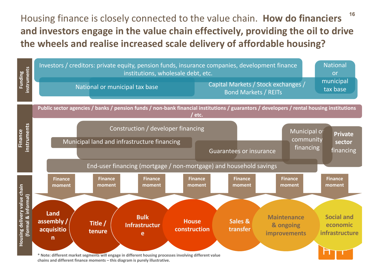**16** Housing finance is closely connected to the value chain. How do financiers and investors engage in the value chain effectively, providing the oil to drive the wheels and realise increased scale delivery of affordable housing?